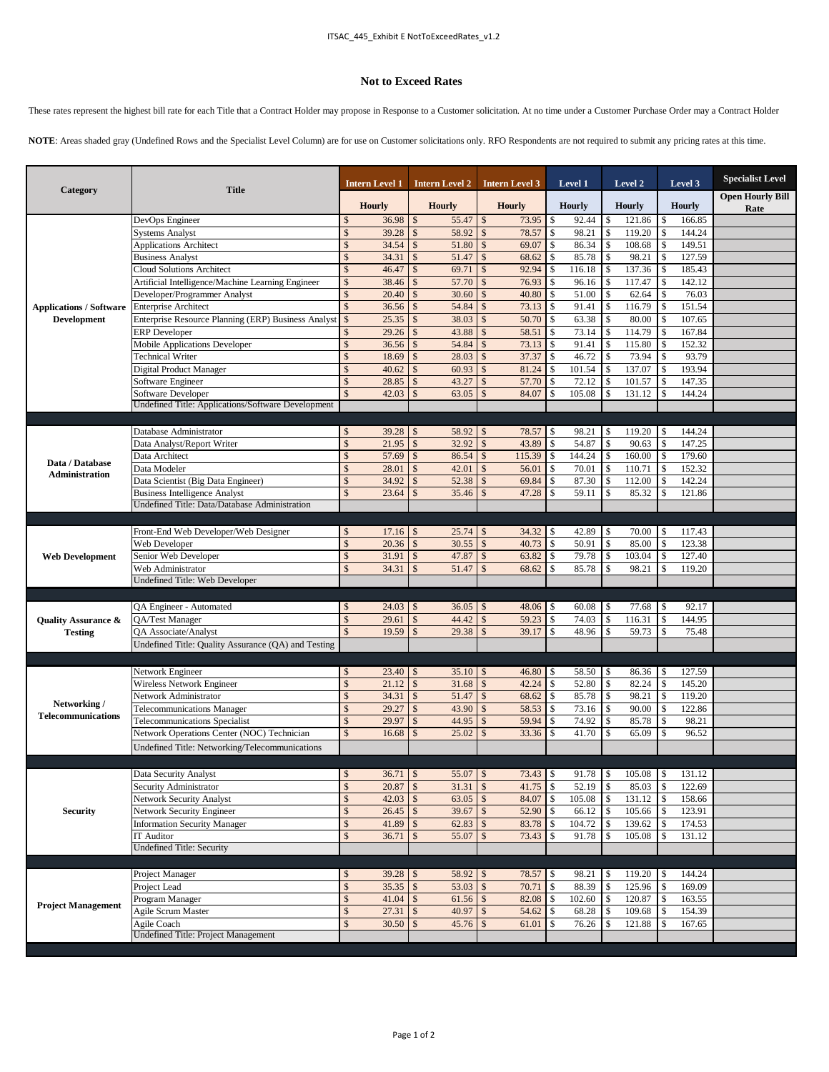## **Not to Exceed Rates**

These rates represent the highest bill rate for each Title that a Contract Holder may propose in Response to a Customer solicitation. At no time under a Customer Purchase Order may a Contract Holder

**NOTE**: Areas shaded gray (Undefined Rows and the Specialist Level Column) are for use on Customer solicitations only. RFO Respondents are not required to submit any pricing rates at this time.

| Category                                             | <b>Title</b>                                                                          |                     | Intern Level 1 |                                | <b>Intern Level 2</b> |                                    | <b>Intern Level 3</b> |                          | Level 1               |                          | Level 2         |         | Level 3          | <b>Specialist Level</b>         |
|------------------------------------------------------|---------------------------------------------------------------------------------------|---------------------|----------------|--------------------------------|-----------------------|------------------------------------|-----------------------|--------------------------|-----------------------|--------------------------|-----------------|---------|------------------|---------------------------------|
|                                                      |                                                                                       |                     | <b>Hourly</b>  |                                | <b>Hourly</b>         |                                    | <b>Hourly</b>         |                          | <b>Hourly</b>         |                          | <b>Hourly</b>   |         | <b>Hourly</b>    | <b>Open Hourly Bill</b><br>Rate |
|                                                      | DevOps Engineer                                                                       | \$                  | 36.98          | $\mathcal{S}$                  | 55.47                 | $\mathbb{S}$                       | 73.95                 | \$                       | 92.44                 | \$                       | 121.86          | \$      | 166.85           |                                 |
|                                                      | <b>Systems Analyst</b>                                                                | \$                  | 39.28          | \$                             | 58.92                 | \$                                 | 78.57                 | \$                       | 98.21                 | \$                       | 119.20          | \$      | 144.24           |                                 |
|                                                      | <b>Applications Architect</b>                                                         |                     | 34.54          | $\mathcal{S}$                  | 51.80                 | $\mathcal{S}$                      | 69.07                 | \$                       | 86.34                 | \$                       | 108.68          | \$      | 149.51           |                                 |
|                                                      | <b>Business Analyst</b>                                                               | \$                  | 34.31          | \$                             | 51.47                 | <sup>\$</sup>                      | 68.62                 | \$                       | 85.78                 | \$                       | 98.21           | Ŝ       | 127.59           |                                 |
|                                                      | <b>Cloud Solutions Architect</b>                                                      | \$                  | 46.47          | $\mathcal{S}$                  | 69.71                 | $\mathcal{S}$                      | 92.94                 | \$                       | 116.18                | \$                       | 137.36          | \$      | 185.43           |                                 |
|                                                      | Artificial Intelligence/Machine Learning Engineer                                     | $\hat{\mathbf{S}}$  | 38.46          | \$                             | 57.70                 | $\mathcal{S}$                      | 76.93                 | \$                       | 96.16                 | $\mathbb{S}$             | 117.47          |         | 142.12           |                                 |
|                                                      | Developer/Programmer Analyst                                                          | $\hat{\mathbf{S}}$  | 20.40          | $\sqrt[6]{3}$                  | 30.60                 | $\mathbf{\hat{s}}$                 | 40.80                 | \$                       | 51.00                 | <sup>\$</sup>            | 62.64           | Ŝ       | 76.03            |                                 |
| <b>Applications / Software</b><br><b>Development</b> | <b>Enterprise Architect</b>                                                           |                     | 36.56          | $\mathcal{S}$                  | 54.84                 | $\mathcal{S}$                      | 73.13                 | \$                       | 91.41                 | \$                       | 116.79          |         | 151.54           |                                 |
|                                                      | Enterprise Resource Planning (ERP) Business Analyst                                   | $\mathcal{S}$       | 25.35          | $\mathcal{S}$                  | 38.03                 | <sup>\$</sup>                      | 50.70                 | $\mathcal{S}$            | 63.38                 | \$                       | 80.00           | \$.     | 107.65           |                                 |
|                                                      | <b>ERP</b> Developer                                                                  |                     | 29.26          | $\mathcal{S}$                  | 43.88                 | $\mathcal{S}$                      | 58.51                 | \$                       | 73.14                 | \$                       | 114.79          |         | 167.84           |                                 |
|                                                      | <b>Mobile Applications Developer</b>                                                  |                     | 36.56          | $\mathcal{S}$                  | 54.84                 | <sup>\$</sup>                      | 73.13                 | $\mathbb{S}$             | 91.41                 | \$                       | 115.80          |         | 152.32           |                                 |
|                                                      | <b>Technical Writer</b>                                                               |                     | 18.69          | $\mathcal{S}$                  | 28.03                 | $\mathbf{\hat{s}}$                 | 37.37                 | $\mathbf{\hat{S}}$       | 46.72                 | \$                       | 73.94           |         | 93.79            |                                 |
|                                                      | Digital Product Manager                                                               | $\hat{\mathbf{S}}$  | 40.62          | $\mathcal{S}$                  | 60.93                 | $\mathbf{s}$                       | 81.24                 | $\mathbf{\hat{S}}$       | 101.54                | \$                       | 137.07          |         | 193.94           |                                 |
|                                                      | Software Engineer                                                                     | $\hat{\mathbf{S}}$  | 28.85          | $\mathcal{S}$                  | 43.27                 | $\mathbf{s}$                       | 57.70                 | \$                       | 72.12                 | \$                       | 101.57          |         | 147.35           |                                 |
|                                                      | Software Developer<br>Undefined Title: Applications/Software Development              |                     | 42.03          | $\mathcal{S}$                  | 63.05                 | $\mathbf{s}$                       | 84.07                 | \$                       | 105.08                | \$                       | 131.12          |         | 144.24           |                                 |
|                                                      |                                                                                       |                     |                |                                |                       |                                    |                       |                          |                       |                          |                 |         |                  |                                 |
|                                                      |                                                                                       |                     |                |                                |                       |                                    |                       |                          |                       |                          |                 |         |                  |                                 |
|                                                      | Database Administrator                                                                | S.                  | 39.28          | $\mathcal{S}$                  | 58.92                 | -S                                 | 78.57                 | \$                       | 98.21                 | \$                       | 119.20          |         | 144.24           |                                 |
|                                                      | Data Analyst/Report Writer                                                            | $\mathcal{S}$       | 21.95          | \$                             | 32.92                 | $\mathcal{S}$                      | 43.89                 | \$                       | 54.87                 | \$                       | 90.63           |         | 147.25           |                                 |
| Data / Database                                      | Data Architect<br>Data Modeler                                                        | \$                  | 57.69          | $\mathcal{S}$                  | 86.54                 | $\mathbf{\hat{s}}$<br>$\mathbf{s}$ | 115.39                | \$<br>\$                 | 144.24                | $\mathbb{S}$             | 160.00          | \$<br>Ŝ | 179.60<br>152.32 |                                 |
| Administration                                       |                                                                                       | \$                  | 28.01          | $\mathcal{S}$                  | 42.01                 |                                    | 56.01                 |                          | 70.01                 | \$                       | 110.71          |         |                  |                                 |
|                                                      | Data Scientist (Big Data Engineer)                                                    |                     | 34.92<br>23.64 | $\mathcal{S}$<br>$\mathcal{S}$ | 52.38<br>35.46        | $\mathbf{s}$<br>$\mathbf{s}$       | 69.84<br>47.28        | $\mathbf{\$}$<br>\$      | 87.30<br>59.11        | $\mathbf{s}$<br>\$       | 112.00<br>85.32 |         | 142.24<br>121.86 |                                 |
|                                                      | <b>Business Intelligence Analyst</b><br>Undefined Title: Data/Database Administration |                     |                |                                |                       |                                    |                       |                          |                       |                          |                 |         |                  |                                 |
|                                                      |                                                                                       |                     |                |                                |                       |                                    |                       |                          |                       |                          |                 |         |                  |                                 |
|                                                      |                                                                                       |                     |                |                                |                       |                                    |                       |                          |                       |                          |                 |         |                  |                                 |
|                                                      | Front-End Web Developer/Web Designer                                                  | \$<br>$\mathcal{S}$ | 17.16<br>20.36 | $\mathcal{S}$<br>\$            | 25.74<br>30.55        | l \$<br>$\mathbf{s}$               | 34.32<br>40.73        | \$<br>$\mathbf{\hat{S}}$ | 42.89<br>50.91        | \$<br>$\mathbf{\hat{S}}$ | 70.00<br>85.00  |         | 117.43<br>123.38 |                                 |
| <b>Web Development</b>                               | Web Developer<br>Senior Web Developer                                                 | $\hat{\mathbf{S}}$  | 31.91          | \$                             | 47.87                 | $\mathbf{s}$                       | 63.82                 | \$                       | 79.78                 | \$                       | 103.04          |         | 127.40           |                                 |
|                                                      | Web Administrator                                                                     |                     | 34.31          | $\mathcal{S}$                  | 51.47                 |                                    | 68.62                 | \$                       | 85.78                 |                          | 98.21           |         | 119.20           |                                 |
|                                                      | Undefined Title: Web Developer                                                        |                     |                |                                |                       |                                    |                       |                          |                       |                          |                 |         |                  |                                 |
|                                                      |                                                                                       |                     |                |                                |                       |                                    |                       |                          |                       |                          |                 |         |                  |                                 |
|                                                      | QA Engineer - Automated                                                               | S.                  | 24.03          | $\mathcal{S}$                  | 36.05                 | <sup>S</sup>                       | 48.06                 | \$                       | 60.08                 | S                        | 77.68           |         | 92.17            |                                 |
| <b>Quality Assurance &amp;</b>                       | QA/Test Manager                                                                       | $\hat{\mathbf{S}}$  | 29.61          | $\mathcal{S}$                  | 44.42                 | <sup>\$</sup>                      | 59.23                 | \$                       | 74.03                 | $\mathbb{S}$             | 116.31          | Ŝ       | 144.95           |                                 |
| <b>Testing</b>                                       | <b>OA</b> Associate/Analyst                                                           |                     | 19.59          | $\mathcal{S}$                  | 29.38                 | $\mathcal{S}$                      | 39.17                 | \$                       | 48.96                 | \$                       | 59.73           |         | 75.48            |                                 |
|                                                      | Undefined Title: Quality Assurance (QA) and Testing                                   |                     |                |                                |                       |                                    |                       |                          |                       |                          |                 |         |                  |                                 |
|                                                      |                                                                                       |                     |                |                                |                       |                                    |                       |                          |                       |                          |                 |         |                  |                                 |
|                                                      | Network Engineer                                                                      | \$                  | 23.40          | $\mathcal{S}$                  | 35.10                 | <sup>\$</sup>                      | 46.80                 | \$                       | 58.50                 | \$                       | 86.36           |         | 127.59           |                                 |
|                                                      | Wireless Network Engineer                                                             | $\hat{\mathbf{S}}$  | 21.12          | $\sqrt[6]{3}$                  | 31.68                 | $\mathbf{\hat{s}}$                 | 42.24                 | \$                       | 52.80                 | $\mathbb{S}$             | 82.24           | S       | 145.20           |                                 |
|                                                      | Network Administrator                                                                 | $\hat{\mathbf{S}}$  | 34.31          | $\mathcal{S}$                  | 51.47                 | $\mathcal{S}$                      | 68.62                 | $\mathbf{\hat{S}}$       | 85.78                 | $\mathbb{S}$             | 98.21           | \$      | 119.20           |                                 |
| Networking /<br><b>Telecommunications</b>            | <b>Telecommunications Manager</b>                                                     |                     | 29.27          | \$                             | 43.90                 | -8                                 | 58.53                 | \$                       | 73.16                 | $\mathbb{S}$             | 90.00           |         | 122.86           |                                 |
|                                                      | <b>Telecommunications Specialist</b>                                                  |                     | 29.97          | $\mathcal{S}$                  | 44.95                 | $\mathcal{S}$                      | 59.94                 | \$                       | 74.92                 | $\mathsf{\$}$            | 85.78           |         | 98.21            |                                 |
|                                                      | Network Operations Center (NOC) Technician                                            |                     | 16.68          | \$                             | 25.02                 | <sup>\$</sup>                      | 33.36                 | \$                       | 41.70                 | \$                       | 65.09           | \$      | 96.52            |                                 |
|                                                      | Undefined Title: Networking/Telecommunications                                        |                     |                |                                |                       |                                    |                       |                          |                       |                          |                 |         |                  |                                 |
|                                                      |                                                                                       |                     |                |                                |                       |                                    |                       |                          |                       |                          |                 |         |                  |                                 |
|                                                      |                                                                                       |                     |                |                                |                       |                                    |                       |                          |                       |                          |                 |         |                  |                                 |
|                                                      | Data Security Analyst<br>Security Administrator                                       | \$<br>\$            | 20.87          | \$                             | 31.31                 | $\mathcal{S}$                      | 41.75                 | \$                       | $91.78$   \$<br>52.19 | $\mathbb{S}$             | 105.08<br>85.03 | \$      | 131.12<br>122.69 |                                 |
| <b>Security</b>                                      | Network Security Analyst                                                              | \$                  | 42.03          | $\mathcal{S}$                  | 63.05                 | $\sqrt{S}$                         | 84.07                 | $\mathcal{S}$            | 105.08                | $\sqrt{5}$               | 131.12          |         | 158.66           |                                 |
|                                                      | Network Security Engineer                                                             | $\mathcal{S}$       | 26.45          | $\mathcal{S}$                  | 39.67                 | <b>S</b>                           | 52.90                 | \$                       | 66.12                 | \$                       | 105.66          |         | 123.91           |                                 |
|                                                      | <b>Information Security Manager</b>                                                   | \$                  | 41.89          | $\mathcal{S}$                  |                       |                                    | 83.78                 | \$                       | 104.72                | \$                       | 139.62          |         | 174.53           |                                 |
|                                                      | <b>IT Auditor</b>                                                                     | $\mathcal{S}$       | 36.71          | \$                             | 55.07                 | $\mathsf{S}$                       | 73.43                 | \$                       | 91.78                 | \$                       | 105.08          |         | 131.12           |                                 |
|                                                      | <b>Undefined Title: Security</b>                                                      |                     |                |                                |                       |                                    |                       |                          |                       |                          |                 |         |                  |                                 |
|                                                      |                                                                                       |                     |                |                                |                       |                                    |                       |                          |                       |                          |                 |         |                  |                                 |
| <b>Project Management</b>                            | Project Manager                                                                       | \$                  |                |                                | 58.92                 | $\sqrt{S}$                         | 78.57                 | \$                       | 98.21                 | \$                       | 119.20          |         | 144.24           |                                 |
|                                                      | Project Lead                                                                          | \$                  | $35.35$ \$     |                                | $53.03$ \$            |                                    | 70.71                 | \$                       | 88.39                 | $\mathcal{S}$            | 125.96          | \$      | 169.09           |                                 |
|                                                      | Program Manager                                                                       | \$                  | $41.04$ \$     |                                | $61.56$ \$            |                                    | 82.08                 | $\mathcal{S}$            | 102.60                | $\mathbf{\hat{S}}$       | 120.87          | \$      | 163.55           |                                 |
|                                                      | Agile Scrum Master                                                                    | $\mathcal{S}$       | $27.31$ \$     |                                | 40.97                 | $\sqrt{S}$                         | 54.62                 | \$                       | 68.28                 | \$                       | 109.68          |         | 154.39           |                                 |
|                                                      | Agile Coach                                                                           | $\hat{\mathbf{S}}$  | 30.50          | \$                             | 45.76                 | $\sqrt{S}$                         | 61.01                 | \$                       | 76.26                 | \$                       | 121.88          | \$      | 167.65           |                                 |
|                                                      | Undefined Title: Project Management                                                   |                     |                |                                |                       |                                    |                       |                          |                       |                          |                 |         |                  |                                 |
|                                                      |                                                                                       |                     |                |                                |                       |                                    |                       |                          |                       |                          |                 |         |                  |                                 |